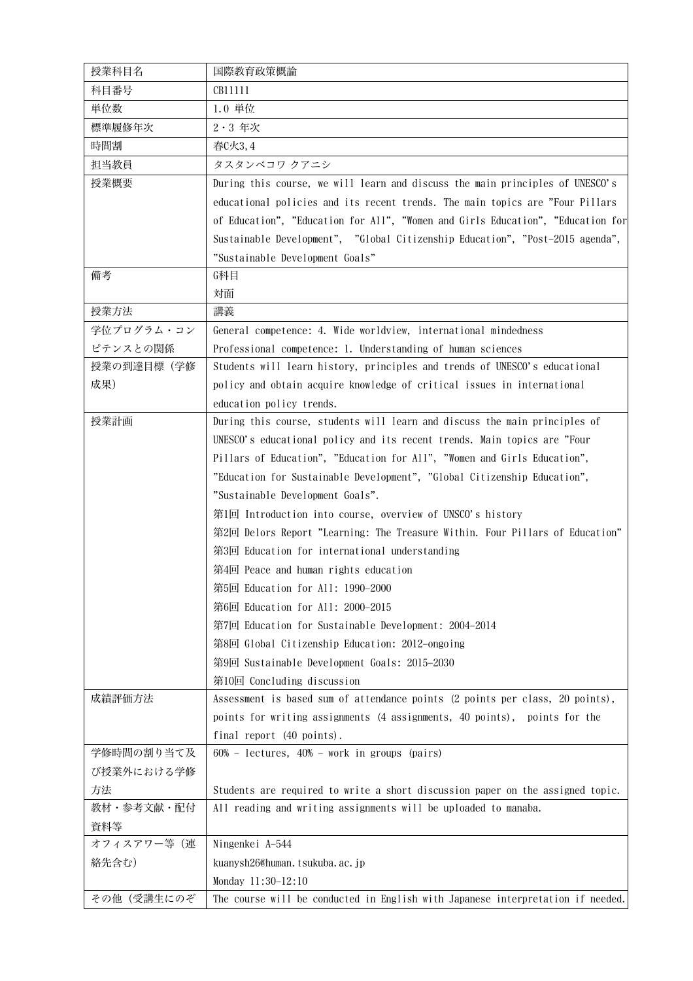| 授業科目名      | 国際教育政策概論                                                                        |
|------------|---------------------------------------------------------------------------------|
| 科目番号       | CB11111                                                                         |
| 単位数        | 1.0 単位                                                                          |
| 標準履修年次     | 2·3 年次                                                                          |
| 時間割        | 春C火3,4                                                                          |
| 担当教員       | タスタンベコワ クアニシ                                                                    |
| 授業概要       | During this course, we will learn and discuss the main principles of UNESCO's   |
|            | educational policies and its recent trends. The main topics are "Four Pillars   |
|            | of Education", "Education for All", "Women and Girls Education", "Education for |
|            | Sustainable Development", "Global Citizenship Education", "Post-2015 agenda",   |
|            | "Sustainable Development Goals"                                                 |
| 備考         | G科目                                                                             |
|            | 対面                                                                              |
| 授業方法       | 講義                                                                              |
| 学位プログラム・コン | General competence: 4. Wide worldview, international mindedness                 |
| ピテンスとの関係   | Professional competence: 1. Understanding of human sciences                     |
| 授業の到達目標(学修 | Students will learn history, principles and trends of UNESCO's educational      |
| 成果)        | policy and obtain acquire knowledge of critical issues in international         |
|            | education policy trends.                                                        |
| 授業計画       | During this course, students will learn and discuss the main principles of      |
|            | UNESCO's educational policy and its recent trends. Main topics are "Four        |
|            | Pillars of Education", "Education for All", "Women and Girls Education",        |
|            | "Education for Sustainable Development", "Global Citizenship Education",        |
|            | "Sustainable Development Goals".                                                |
|            | 第1回 Introduction into course, overview of UNSCO's history                       |
|            | 第2回 Delors Report "Learning: The Treasure Within. Four Pillars of Education"    |
|            | 第3回 Education for international understanding                                   |
|            | 第4回 Peace and human rights education                                            |
|            | 第5回 Education for All: 1990-2000                                                |
|            | 第6回 Education for All: 2000-2015                                                |
|            | 第7回 Education for Sustainable Development: 2004-2014                            |
|            | 第8回 Global Citizenship Education: 2012-ongoing                                  |
|            | 第9回 Sustainable Development Goals: 2015-2030                                    |
|            | 第10回 Concluding discussion                                                      |
| 成績評価方法     | Assessment is based sum of attendance points (2 points per class, 20 points),   |
|            | points for writing assignments (4 assignments, 40 points), points for the       |
|            | final report (40 points).                                                       |
| 学修時間の割り当て及 | $60\%$ - lectures, $40\%$ - work in groups (pairs)                              |
| び授業外における学修 |                                                                                 |
| 方法         | Students are required to write a short discussion paper on the assigned topic.  |
| 教材・参考文献・配付 | All reading and writing assignments will be uploaded to manaba.                 |
| 資料等        |                                                                                 |
| オフィスアワー等(連 | Ningenkei A-544                                                                 |
| 絡先含む)      | kuanysh26@human.tsukuba.ac.jp                                                   |
|            | Monday 11:30-12:10                                                              |
| その他(受講生にのぞ | The course will be conducted in English with Japanese interpretation if needed. |